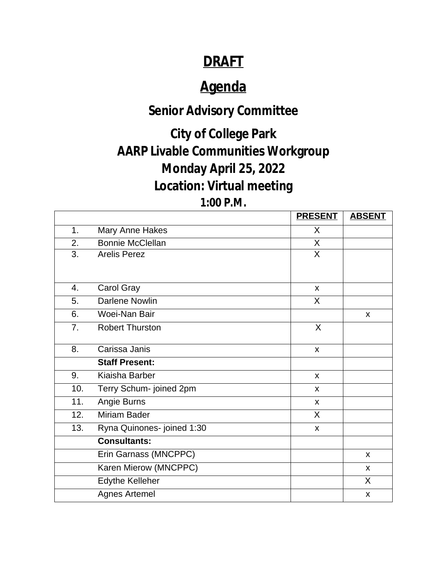## **DRAFT**

# **Agenda**

## **Senior Advisory Committee**

# **City of College Park AARP Livable Communities Workgroup Monday April 25, 2022 Location: Virtual meeting**

### **1:00 P.M.**

|                |                            | <b>PRESENT</b> | <b>ABSENT</b> |
|----------------|----------------------------|----------------|---------------|
| 1.             | Mary Anne Hakes            | X              |               |
| 2.             | <b>Bonnie McClellan</b>    | $\sf X$        |               |
| 3.             | <b>Arelis Perez</b>        | X              |               |
|                |                            |                |               |
| 4.             | Carol Gray                 | $\mathsf{x}$   |               |
| 5.             | <b>Darlene Nowlin</b>      | X              |               |
| 6.             | Woei-Nan Bair              |                | $\mathsf{X}$  |
| 7 <sub>1</sub> | <b>Robert Thurston</b>     | X              |               |
| 8.             | Carissa Janis              | $\mathsf{x}$   |               |
|                | <b>Staff Present:</b>      |                |               |
|                |                            |                |               |
| 9.             | Kiaisha Barber             | X              |               |
| 10.            | Terry Schum- joined 2pm    | $\mathsf{x}$   |               |
| 11.            | Angie Burns                | X              |               |
| 12.            | <b>Miriam Bader</b>        | $\sf X$        |               |
| 13.            | Ryna Quinones- joined 1:30 | X              |               |
|                | <b>Consultants:</b>        |                |               |
|                | Erin Garnass (MNCPPC)      |                | $\mathsf{X}$  |
|                | Karen Mierow (MNCPPC)      |                | $\mathsf{X}$  |
|                | <b>Edythe Kelleher</b>     |                | X             |
|                | <b>Agnes Artemel</b>       |                | $\mathsf{x}$  |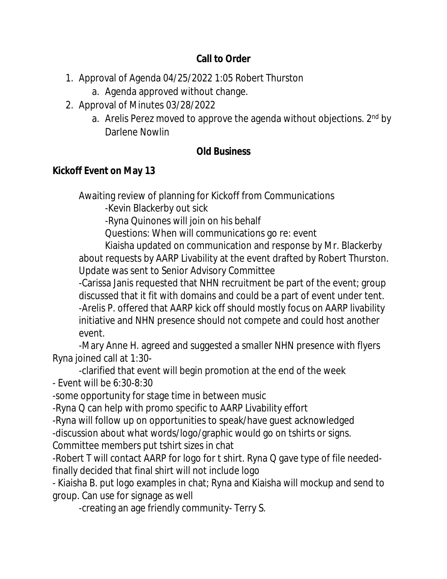#### **Call to Order**

- 1. Approval of Agenda 04/25/2022 1:05 Robert Thurston
	- a. Agenda approved without change.
- 2. Approval of Minutes 03/28/2022
	- a. Arelis Perez moved to approve the agenda without objections. 2<sup>nd</sup> by Darlene Nowlin

#### **Old Business**

#### **Kickoff Event on May 13**

Awaiting review of planning for Kickoff from Communications

-Kevin Blackerby out sick

-Ryna Quinones will join on his behalf

Questions: When will communications go re: event

Kiaisha updated on communication and response by Mr. Blackerby about requests by AARP Livability at the event drafted by Robert Thurston. Update was sent to Senior Advisory Committee

-Carissa Janis requested that NHN recruitment be part of the event; group discussed that it fit with domains and could be a part of event under tent. -Arelis P. offered that AARP kick off should mostly focus on AARP livability initiative and NHN presence should not compete and could host another event.

-Mary Anne H. agreed and suggested a smaller NHN presence with flyers Ryna joined call at 1:30-

-clarified that event will begin promotion at the end of the week - Event will be 6:30-8:30

-some opportunity for stage time in between music

-Ryna Q can help with promo specific to AARP Livability effort

-Ryna will follow up on opportunities to speak/have guest acknowledged

-discussion about what words/logo/graphic would go on tshirts or signs.

Committee members put tshirt sizes in chat

-Robert T will contact AARP for logo for t shirt. Ryna Q gave type of file neededfinally decided that final shirt will not include logo

- Kiaisha B. put logo examples in chat; Ryna and Kiaisha will mockup and send to group. Can use for signage as well

-creating an age friendly community- Terry S.